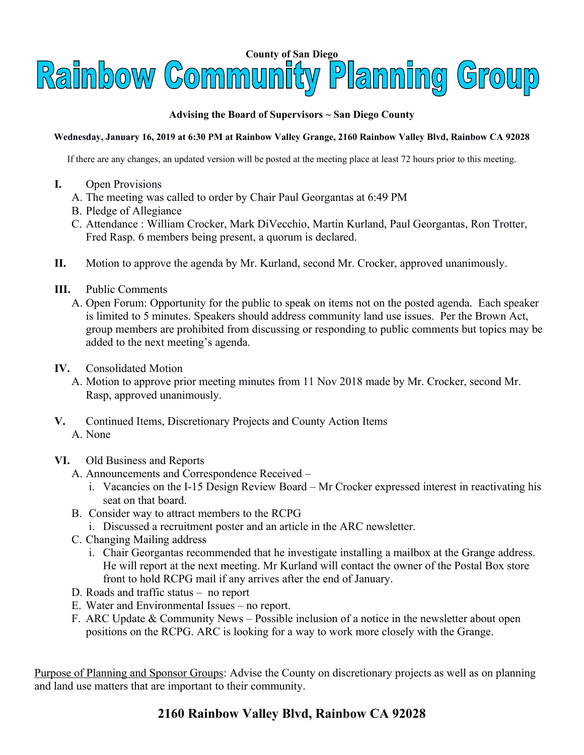

## **Advising the Board of Supervisors ~ San Diego County**

## **Wednesday, January 16, 2019 at 6:30 PM at Rainbow Valley Grange, 2160 Rainbow Valley Blvd, Rainbow CA 92028**

If there are any changes, an updated version will be posted at the meeting place at least 72 hours prior to this meeting.

- **I.** Open Provisions
	- A. The meeting was called to order by Chair Paul Georgantas at 6:49 PM
	- B. Pledge of Allegiance
	- C. Attendance : William Crocker, Mark DiVecchio, Martin Kurland, Paul Georgantas, Ron Trotter, Fred Rasp. 6 members being present, a quorum is declared.
- **II.** Motion to approve the agenda by Mr. Kurland, second Mr. Crocker, approved unanimously.
- **III.** Public Comments
	- A. Open Forum: Opportunity for the public to speak on items not on the posted agenda. Each speaker is limited to 5 minutes. Speakers should address community land use issues. Per the Brown Act, group members are prohibited from discussing or responding to public comments but topics may be added to the next meeting's agenda.
- **IV.** Consolidated Motion
	- A. Motion to approve prior meeting minutes from 11 Nov 2018 made by Mr. Crocker, second Mr. Rasp, approved unanimously.
- **V.** Continued Items, Discretionary Projects and County Action Items A. None
- **VI.** Old Business and Reports
	- A. Announcements and Correspondence Received
		- i. Vacancies on the I-15 Design Review Board Mr Crocker expressed interest in reactivating his seat on that board.
	- B. Consider way to attract members to the RCPG
		- i. Discussed a recruitment poster and an article in the ARC newsletter.
	- C. Changing Mailing address
		- i. Chair Georgantas recommended that he investigate installing a mailbox at the Grange address. He will report at the next meeting. Mr Kurland will contact the owner of the Postal Box store front to hold RCPG mail if any arrives after the end of January.
	- D. Roads and traffic status no report
	- E. Water and Environmental Issues no report.
	- F. ARC Update & Community News Possible inclusion of a notice in the newsletter about open positions on the RCPG. ARC is looking for a way to work more closely with the Grange.

Purpose of Planning and Sponsor Groups: Advise the County on discretionary projects as well as on planning and land use matters that are important to their community.

## **2160 Rainbow Valley Blvd, Rainbow CA 92028**